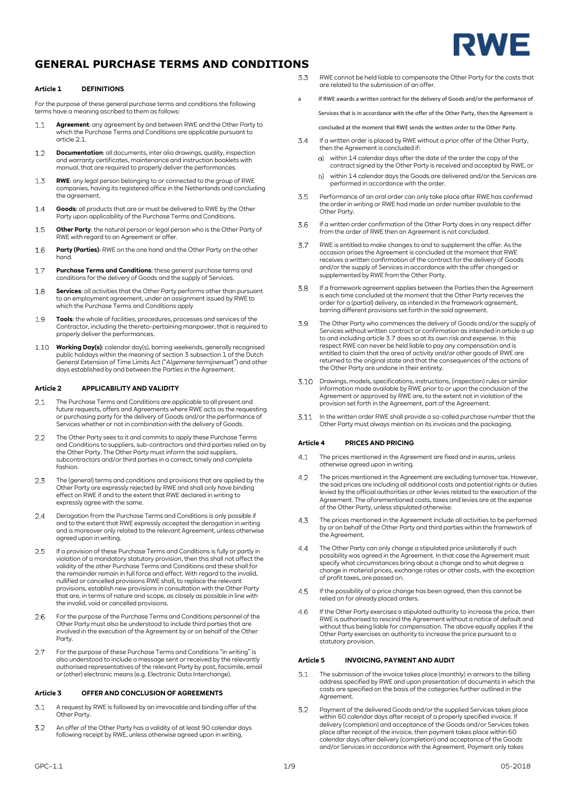

### **Article 1 DEFINITIONS**

For the purpose of these general purchase terms and conditions the following terms have a meaning ascribed to them as follows:

- **Agreement**: any agreement by and between RWE and the Other Party to  $1.1$ which the Purchase Terms and Conditions are applicable pursuant to article 2.1.
- **Documentation**: all documents, inter alia drawings, quality, inspection  $12$ and warranty certificates, maintenance and instruction booklets with manual, that are required to properly deliver the performances.
- $1.3$ **RWE**: any legal person belonging to or connected to the group of RWE companies, having its registered office in the Netherlands and concluding the agreement.
- **Goods**: all products that are or must be delivered to RWE by the Other  $1.4$ Party upon applicability of the Purchase Terms and Conditions.
- 1.5 **Other Party**: the natural person or legal person who is the Other Party of RWE with regard to an Agreement or offer.
- **Party (Parties)**: RWE on the one hand and the Other Party on the other  $16$ hand.
- $1.7$ **Purchase Terms and Conditions**: these general purchase terms and conditions for the delivery of Goods and the supply of Services.
- **Services**: all activities that the Other Party performs other than pursuant 1.8 to an employment agreement, under an assignment issued by RWE to which the Purchase Terms and Conditions apply
- **Tools**: the whole of facilities, procedures, processes and services of the  $19$ Contractor, including the thereto-pertaining manpower, that is required to properly deliver the performances.
- 1.10 **Working Day(s)**: calendar day(s), barring weekends, generally recognised public holidays within the meaning of section 3 subsection 1 of the Dutch General Extension of Time Limits Act ("*Algemene termijnenwet*") and other days established by and between the Parties in the Agreement.

## **Article 2 APPLICABILITY AND VALIDITY**

- The Purchase Terms and Conditions are applicable to all present and  $2.1$ future requests, offers and Agreements where RWE acts as the requesting or purchasing party for the delivery of Goods and/or the performance of Services whether or not in combination with the delivery of Goods.
- The Other Party sees to it and commits to apply these Purchase Terms  $22$ and Conditions to suppliers, sub-contractors and third parties relied on by the Other Party. The Other Party must inform the said suppliers, subcontractors and/or third parties in a correct, timely and complete fashion.
- The (general) terms and conditions and provisions that are applied by the 2.3 Other Party are expressly rejected by RWE and shall only have binding effect on RWE if and to the extent that RWE declared in writing to expressly agree with the same.
- 2.4 Derogation from the Purchase Terms and Conditions is only possible if and to the extent that RWE expressly accepted the derogation in writing and is moreover only related to the relevant Agreement, unless otherwise agreed upon in writing.
- <span id="page-0-2"></span> $2.5$ If a provision of these Purchase Terms and Conditions is fully or partly in violation of a mandatory statutory provision, then this shall not affect the validity of the other Purchase Terms and Conditions and these shall for the remainder remain in full force and effect. With regard to the invalid, nullified or cancelled provisions RWE shall, to replace the relevant provisions, establish new provisions in consultation with the Other Party that are, in terms of nature and scope, as closely as possible in line with the invalid, void or cancelled provisions.
- $26$ For the purpose of the Purchase Terms and Conditions personnel of the Other Party must also be understood to include third parties that are involved in the execution of the Agreement by or on behalf of the Other Party.
- For the purpose of these Purchase Terms and Conditions "in writing" is  $27$ also understood to include a message sent or received by the relevantly authorised representatives of the relevant Party by post, facsimile, email or (other) electronic means (e.g. Electronic Data Interchange).

#### **Article 3 OFFER AND CONCLUSION OF AGREEMENTS**

- A request by RWE is followed by an irrevocable and binding offer of the  $3.1$ Other Party.
- An offer of the Other Party has a validity of at least 90 calendar days  $3.2$ following receipt by RWE, unless otherwise agreed upon in writing.
- RWE cannot be held liable to compensate the Other Party for the costs that are related to the submission of an offer.
- <span id="page-0-0"></span>a If RWE awards a written contract for the delivery of Goods and/or the performance of Services that is in accordance with the offer of the Other Party, then the Agreement is
	- concluded at the moment that RWE sends the written order to the Other Party.
- $3.4$ If a written order is placed by RWE without a prior offer of the Other Party, then the Agreement is concluded if:
	- within 14 calendar days after the date of the order the copy of the contract signed by the Other Party is received and accepted by RWE, or
	- $h)$ within 14 calendar days the Goods are delivered and/or the Services are performed in accordance with the order.
- 3.5 Performance of an oral order can only take place after RWE has confirmed the order in writing or RWE had made an order number available to the Other Party.
- If a written order confirmation of the Other Party does in any respect differ 36 from the order of RWE then an Agreement is not concluded.
- <span id="page-0-1"></span>RWE is entitled to make changes to and to supplement the offer. As the 37 occasion arises the Agreement is concluded at the moment that RWE receives a written confirmation of the contract for the delivery of Goods and/or the supply of Services in accordance with the offer changed or supplemented by RWE from the Other Party.
- If a framework agreement applies between the Parties then the Agreement 3.8 is each time concluded at the moment that the Other Party receives the order for a (partial) delivery, as intended in the framework agreement, barring different provisions set forth in the said agreement.
- The Other Party who commences the delivery of Goods and/or the supply of 3.9 Services without written contract or confirmation as intended in articl[e a](#page-0-0) up to and including article [3.7](#page-0-1) does so at its own risk and expense. In this respect RWE can never be held liable to pay any compensation and is entitled to claim that the area of activity and/or other goods of RWE are returned to the original state and that the consequences of the actions of the Other Party are undone in their entirety.
- $3.10$ Drawings, models, specifications, instructions, (inspection) rules or similar information made available by RWE prior to or upon the conclusion of the Agreement or approved by RWE are, to the extent not in violation of the provision set forth in the Agreement, part of the Agreement.
- In the written order RWE shall provide a so-called purchase number that the Other Party must always mention on its invoices and the packaging.

#### **Article 4 PRICES AND PRICING**

- The prices mentioned in the Agreement are fixed and in euros, unless  $4.1$ otherwise agreed upon in writing.
- $4.2$ The prices mentioned in the Agreement are excluding turnover tax. However, the said prices are including all additional costs and potential rights or duties levied by the official authorities or other levies related to the execution of the Agreement. The aforementioned costs, taxes and levies are at the expense of the Other Party, unless stipulated otherwise.
- $4.3$ The prices mentioned in the Agreement include all activities to be performed by or on behalf of the Other Party and third parties within the framework of the Agreement.
- $4.4$ The Other Party can only change a stipulated price unilaterally if such possibility was agreed in the Agreement. In that case the Agreement must specify what circumstances bring about a change and to what degree a change in material prices, exchange rates or other costs, with the exception of profit taxes, are passed on.
- $4.5$ If the possibility of a price change has been agreed, then this cannot be relied on for already placed orders.
- 4.6 If the Other Party exercises a stipulated authority to increase the price, then RWE is authorised to rescind the Agreement without a notice of default and without thus being liable for compensation. The above equally applies if the Other Party exercises an authority to increase the price pursuant to a statutory provision.

### **Article 5 INVOICING, PAYMENT AND AUDIT**

- $51$ The submission of the invoice takes place (monthly) in arrears to the billing address specified by RWE and upon presentation of documents in which the costs are specified on the basis of the categories further outlined in the Agreement.
- 52 Payment of the delivered Goods and/or the supplied Services takes place within 60 calendar days after receipt of a properly specified invoice. If delivery (completion) and acceptance of the Goods and/or Services takes place after receipt of the invoice, then payment takes place within 60 calendar days after delivery (completion) and acceptance of the Goods and/or Services in accordance with the Agreement. Payment only takes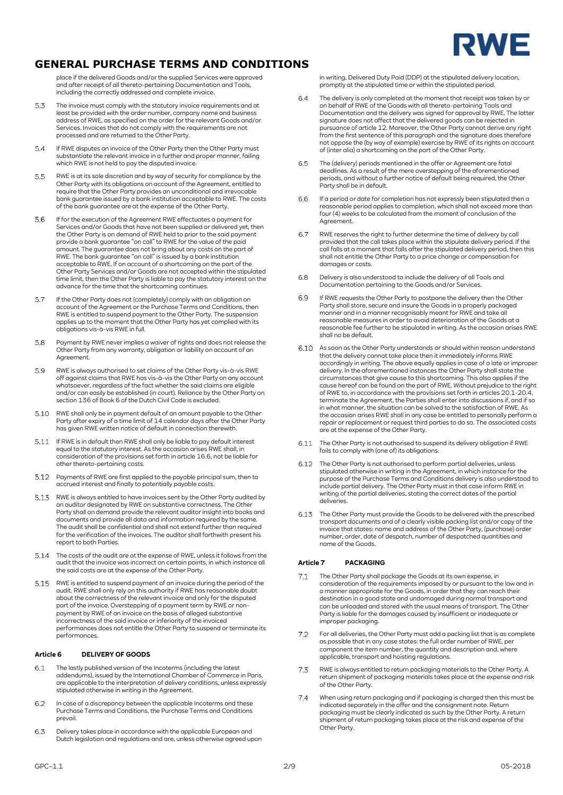

place if the delivered Goods and/or the supplied Services were approved and after receipt of all thereto-pertaining Documentation and Tools, including the correctly addressed and complete invoice.

- $5.3$ The invoice must comply with the statutory invoice requirements and at least be provided with the order number, company name and business address of RWE, as specified on the order for the relevant Goods and/or Services. Invoices that do not comply with the requirements are not processed and are returned to the Other Party.
- 5.4 If RWE disputes an invoice of the Other Party then the Other Party must substantiate the relevant invoice in a further and proper manner, failing which RWE is not held to pay the disputed invoice.
- 5.5 RWE is at its sole discretion and by way of security for compliance by the Other Party with its obligations on account of the Agreement, entitled to require that the Other Party provides an unconditional and irrevocable bank guarantee issued by a bank institution acceptable to RWE. The costs of the bank guarantee are at the expense of the Other Party.
- If for the execution of the Agreement RWE effectuates a payment for 5.6 Services and/or Goods that have not been supplied or delivered yet, then the Other Party is on demand of RWE held to prior to the said payment provide a bank guarantee "on call" to RWE for the value of the paid amount. The guarantee does not bring about any costs on the part of RWE. The bank guarantee "on call" is issued by a bank institution acceptable to RWE. If on account of a shortcoming on the part of the Other Party Services and/or Goods are not accepted within the stipulated time limit, then the Other Party is liable to pay the statutory interest on the advance for the time that the shortcoming continues.
- 57 If the Other Party does not (completely) comply with an obligation on account of the Agreement or the Purchase Terms and Conditions, then RWE is entitled to suspend payment to the Other Party. The suspension applies up to the moment that the Other Party has yet complied with its obligations vis-à-vis RWE in full.
- Payment by RWE never implies a waiver of rights and does not release the 5.8 Other Party from any warranty, obligation or liability on account of an Agreement.
- 5.9 RWE is always authorised to set claims of the Other Party vis-à-vis RWE off against claims that RWE has vis-à-vis the Other Party on any account whatsoever, regardless of the fact whether the said claims are eligible and/or can easily be established (in court). Reliance by the Other Party on section 136 of Book 6 of the Dutch Civil Code is excluded.
- RWE shall only be in payment default of an amount payable to the Other 5.10 Party after expiry of a time limit of 14 calendar days after the Other Party has given RWE written notice of default in connection therewith.
- If RWE is in default then RWE shall only be liable to pay default interest equal to the statutory interest. As the occasion arises RWE shall, in consideration of the provisions set forth in articl[e 16.6,](#page-4-0) not be liable for other thereto-pertaining costs.
- 5.12 Payments of RWE are first applied to the payable principal sum, then to accrued interest and finally to potentially payable costs.
- 5.13 RWE is always entitled to have invoices sent by the Other Party audited by an auditor designated by RWE on substantive correctness. The Other Party shall on demand provide the relevant auditor insight into books and documents and provide all data and information required by the same. The audit shall be confidential and shall not extend further than required for the verification of the invoices. The auditor shall forthwith present his report to both Parties.
- The costs of the audit are at the expense of RWE, unless it follows from the audit that the invoice was incorrect on certain points, in which instance all the said costs are at the expense of the Other Party.
- RWE is entitled to suspend payment of an invoice during the period of the 5.15 audit. RWE shall only rely on this authority if RWE has reasonable doubt about the correctness of the relevant invoice and only for the disputed part of the invoice. Overstepping of a payment term by RWE or non-payment by RWE of an invoice on the basis of alleged substantive incorrectness of the said invoice or inferiority of the invoiced performances does not entitle the Other Party to suspend or terminate its performances.

## **Article 6 DELIVERY OF GOODS**

- The lastly published version of the Incoterms (including the latest 6.1 addendums), issued by the International Chamber of Commerce in Paris, are applicable to the interpretation of delivery conditions, unless expressly stipulated otherwise in writing in the Agreement.
- 6.2 In case of a discrepancy between the applicable Incoterms and these Purchase Terms and Conditions, the Purchase Terms and Conditions prevail.
- Delivery takes place in accordance with the applicable European and 6.3 Dutch legislation and regulations and are, unless otherwise agreed upon

in writing, Delivered Duty Paid (DDP) at the stipulated delivery location, promptly at the stipulated time or within the stipulated period.

- $6.4$ The delivery is only completed at the moment that receipt was taken by or on behalf of RWE of the Goods with all thereto-pertaining Tools and Documentation and the delivery was signed for approval by RWE. The latter signature does not affect that the delivered goods can be rejected in pursuance of article 12. Moreover, the Other Party cannot derive any right from the first sentence of this paragraph and the signature does therefore not oppose the (by way of example) exercise by RWE of its rights on account of (inter alia) a shortcoming on the part of the Other Party.
- 6.5 The (delivery) periods mentioned in the offer or Agreement are fatal deadlines. As a result of the mere overstepping of the aforementioned periods, and without a further notice of default being required, the Other Party shall be in default.
- 6.6 If a period or date for completion has not expressly been stipulated then a reasonable period applies to completion, which shall not exceed more than four (4) weeks to be calculated from the moment of conclusion of the Agreement.
- RWE reserves the right to further determine the time of delivery by call 6.7 provided that the call takes place within the stipulate delivery period. If the call falls at a moment that falls after the stipulated delivery period, then this shall not entitle the Other Party to a price change or compensation for damages or costs.
- $68$ Delivery is also understood to include the delivery of all Tools and Documentation pertaining to the Goods and/or Services.
- <span id="page-1-0"></span> $69$ If RWE requests the Other Party to postpone the delivery then the Other Party shall store, secure and insure the Goods in a properly packaged manner and in a manner recognisably meant for RWE and take all reasonable measures in order to avoid deterioration of the Goods at a reasonable fee further to be stipulated in writing. As the occasion arises RWE shall no be default.
- As soon as the Other Party understands or should within reason understand that the delivery cannot take place then it immediately informs RWE accordingly in writing. The above equally applies in case of a late or improper delivery. In the aforementioned instances the Other Party shall state the circumstances that give cause to this shortcoming. This also applies if the cause hereof can be found on the part of RWE. Without prejudice to the right of RWE to, in accordance with the provisions set forth in article[s 20.1](#page-5-0)[-20.4,](#page-5-1)  terminate the Agreement, the Parties shall enter into discussions if, and if so in what manner, the situation can be solved to the satisfaction of RWE. As the occasion arises RWE shall in any case be entitled to personally perform a repair or replacement or request third parties to do so. The associated costs are at the expense of the Other Party.
- The Other Party is not authorised to suspend its delivery obligation if RWE fails to comply with (one of) its obligations.
- The Other Party is not authorised to perform partial deliveries, unless stipulated otherwise in writing in the Agreement, in which instance for the purpose of the Purchase Terms and Conditions delivery is also understood to include partial delivery. The Other Party must in that case inform RWE in writing of the partial deliveries, stating the correct dates of the partial deliveries.
- The Other Party must provide the Goods to be delivered with the prescribed transport documents and of a clearly visible packing list and/or copy of the invoice that states: name and address of the Other Party, (purchase) order number, order, date of despatch, number of despatched quantities and name of the Goods.

## **Article 7 PACKAGING**

- The Other Party shall package the Goods at its own expense, in  $71$ consideration of the requirements imposed by or pursuant to the law and in a manner appropriate for the Goods, in order that they can reach their destination in a good state and undamaged during normal transport and can be unloaded and stored with the usual means of transport. The Other Party is liable for the damages caused by insufficient or inadequate or improper packaging.
- $7.2$ For all deliveries, the Other Party must add a packing list that is as complete as possible that in any case states: the full order number of RWE, per component the item number, the quantity and description and, where applicable, transport and hoisting regulations.
- $7.3$ RWE is always entitled to return packaging materials to the Other Party. A return shipment of packaging materials takes place at the expense and risk of the Other Party.
- $7.4$ When using return packaging and if packaging is charged then this must be indicated separately in the offer and the consignment note. Return packaging must be clearly indicated as such by the Other Party. A return shipment of return packaging takes place at the risk and expense of the Other Party.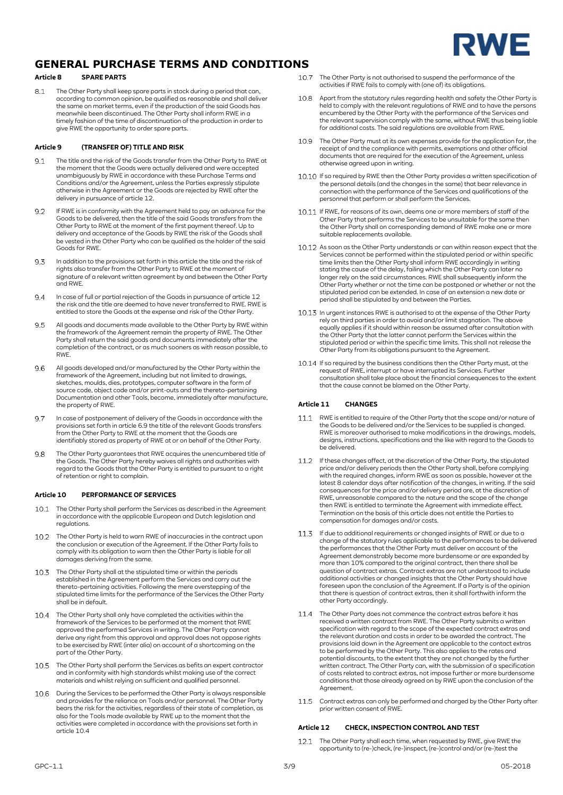

## **Article 8 SPARE PARTS**

8.1 The Other Party shall keep spare parts in stock during a period that can, according to common opinion, be qualified as reasonable and shall deliver the same on market terms, even if the production of the said Goods has meanwhile been discontinued. The Other Party shall inform RWE in a timely fashion of the time of discontinuation of the production in order to give RWE the opportunity to order spare parts.

### **Article 9 (TRANSFER OF) TITLE AND RISK**

- 9.1 The title and the risk of the Goods transfer from the Other Party to RWE at the moment that the Goods were actually delivered and were accepted unambiguously by RWE in accordance with these Purchase Terms and Conditions and/or the Agreement, unless the Parties expressly stipulate otherwise in the Agreement or the Goods are rejected by RWE after the delivery in pursuance of article 12.
- 9.2 If RWE is in conformity with the Agreement held to pay an advance for the Goods to be delivered, then the title of the said Goods transfers from the Other Party to RWE at the moment of the first payment thereof. Up to delivery and acceptance of the Goods by RWE the risk of the Goods shall be vested in the Other Party who can be qualified as the holder of the said Goods for RWE.
- 9.3 In addition to the provisions set forth in this article the title and the risk of rights also transfer from the Other Party to RWE at the moment of signature of a relevant written agreement by and between the Other Party and RWE.
- 9.4 In case of full or partial rejection of the Goods in pursuance of article 12 the risk and the title are deemed to have never transferred to RWE. RWE is entitled to store the Goods at the expense and risk of the Other Party.
- All goods and documents made available to the Other Party by RWE within 9.5 the framework of the Agreement remain the property of RWE. The Other Party shall return the said goods and documents immediately after the completion of the contract, or as much sooners as with reason possible, to RWE.
- 9.6 All goods developed and/or manufactured by the Other Party within the framework of the Agreement, including but not limited to drawings, sketches, moulds, dies, prototypes, computer software in the form of source code, object code and/or print-outs and the thereto-pertaining Documentation and other Tools, become, immediately after manufacture, the property of RWE.
- In case of postponement of delivery of the Goods in accordance with the 9.7 provisions set forth in articl[e 6.9](#page-1-0) the title of the relevant Goods transfers from the Other Party to RWE at the moment that the Goods are identifiably stored as property of RWE at or on behalf of the Other Party.
- The Other Party guarantees that RWE acquires the unencumbered title of 9.8 the Goods. The Other Party hereby waives all rights and authorities with regard to the Goods that the Other Party is entitled to pursuant to a right of retention or right to complain.

#### **Article 10 PERFORMANCE OF SERVICES**

- 10.1 The Other Party shall perform the Services as described in the Agreement in accordance with the applicable European and Dutch legislation and regulations.
- The Other Party is held to warn RWE of inaccuracies in the contract upon  $102$ the conclusion or execution of the Agreement. If the Other Party fails to comply with its obligation to warn then the Other Party is liable for all damages deriving from the same.
- 10.3 The Other Party shall at the stipulated time or within the periods established in the Agreement perform the Services and carry out the thereto-pertaining activities. Following the mere overstepping of the stipulated time limits for the performance of the Services the Other Party shall be in default.
- <span id="page-2-0"></span>10.4 The Other Party shall only have completed the activities within the framework of the Services to be performed at the moment that RWE approved the performed Services in writing. The Other Party cannot derive any right from this approval and approval does not oppose rights to be exercised by RWE (inter alia) on account of a shortcoming on the part of the Other Party.
- 10.5 The Other Party shall perform the Services as befits an expert contractor and in conformity with high standards whilst making use of the correct materials and whilst relying on sufficient and qualified personnel.
- 10.6 During the Services to be performed the Other Party is always responsible and provides for the reliance on Tools and/or personnel. The Other Party and provides for the rendrice of Froots and/or personnel. The other Farty<br>bears the risk for the activities, regardless of their state of completion, as also for the Tools made available by RWE up to the moment that the activities were completed in accordance with the provisions set forth in articl[e 10.4](#page-2-0)
- 10.7 The Other Party is not authorised to suspend the performance of the activities if RWE fails to comply with (one of) its obligations.
- 10.8 Apart from the statutory rules regarding health and safety the Other Party is held to comply with the relevant regulations of RWE and to have the persons encumbered by the Other Party with the performance of the Services and the relevant supervision comply with the same, without RWE thus being liable for additional costs. The said regulations are available from RWE.
- The Other Party must at its own expenses provide for the application for, the  $10.9$ receipt of and the compliance with permits, exemptions and other official documents that are required for the execution of the Agreement, unless otherwise agreed upon in writing.
- 10.10 If so required by RWE then the Other Party provides a written specification of the personal details (and the changes in the same) that bear relevance in connection with the performance of the Services and qualifications of the personnel that perform or shall perform the Services.
- 10.11 If RWE, for reasons of its own, deems one or more members of staff of the Other Party that performs the Services to be unsuitable for the same then the Other Party shall on corresponding demand of RWE make one or more suitable replacements available.
- 10.12 As soon as the Other Party understands or can within reason expect that the Services cannot be performed within the stipulated period or within specific time limits then the Other Party shall inform RWE accordingly in writing stating the cause of the delay, failing which the Other Party can later no longer rely on the said circumstances. RWE shall subsequently inform the Other Party whether or not the time can be postponed or whether or not the stipulated period can be extended. In case of an extension a new date or period shall be stipulated by and between the Parties.
- 10.13 In urgent instances RWE is authorised to at the expense of the Other Party rely on third parties in order to avoid and/or limit stagnation. The above equally applies if it should within reason be assumed after consultation with the Other Party that the latter cannot perform the Services within the stipulated period or within the specific time limits. This shall not release the Other Party from its obligations pursuant to the Agreement.
- 10.14 If so required by the business conditions then the Other Party must, at the request of RWE, interrupt or have interrupted its Services. Further consultation shall take place about the financial consequences to the extent that the cause cannot be blamed on the Other Party.

#### **Article 11 CHANGES**

- 11.1 RWE is entitled to require of the Other Party that the scope and/or nature of the Goods to be delivered and/or the Services to be supplied is changed. RWE is moreover authorised to make modifications in the drawings, models, designs, instructions, specifications and the like with regard to the Goods to be delivered.
- 11.2 If these changes affect, at the discretion of the Other Party, the stipulated price and/or delivery periods then the Other Party shall, before complying with the required changes, inform RWE as soon as possible, however at the latest 8 calendar days after notification of the changes, in writing. If the said consequences for the price and/or delivery period are, at the discretion of RWE, unreasonable compared to the nature and the scope of the change then RWE is entitled to terminate the Agreement with immediate effect. Termination on the basis of this article does not entitle the Parties to compensation for damages and/or costs.
- If due to additional requirements or changed insights of RWE or due to a change of the statutory rules applicable to the performances to be delivered the performances that the Other Party must deliver on account of the Agreement demonstrably become more burdensome or are expanded by more than 10% compared to the original contract, then there shall be question of contract extras. Contract extras are not understood to include additional activities or changed insights that the Other Party should have foreseen upon the conclusion of the Agreement. If a Party is of the opinion that there is question of contract extras, then it shall forthwith inform the other Party accordingly.
- 11.4 The Other Party does not commence the contract extras before it has received a written contract from RWE. The Other Party submits a written specification with regard to the scope of the expected contract extras and the relevant duration and costs in order to be awarded the contract. The provisions laid down in the Agreement are applicable to the contact extras to be performed by the Other Party. This also applies to the rates and potential discounts, to the extent that they are not changed by the further written contract. The Other Party can, with the submission of a specification of costs related to contract extras, not impose further or more burdensome conditions that those already agreed on by RWE upon the conclusion of the Agreement.
- $11.5 -$ Contract extras can only be performed and charged by the Other Party after prior written consent of RWE.

## <span id="page-2-1"></span>**Article 12 CHECK, INSPECTION CONTROL AND TEST**

 $12.1$ The Other Party shall each time, when requested by RWE, give RWE the opportunity to (re-)check, (re-)inspect, (re-)control and/or (re-)test the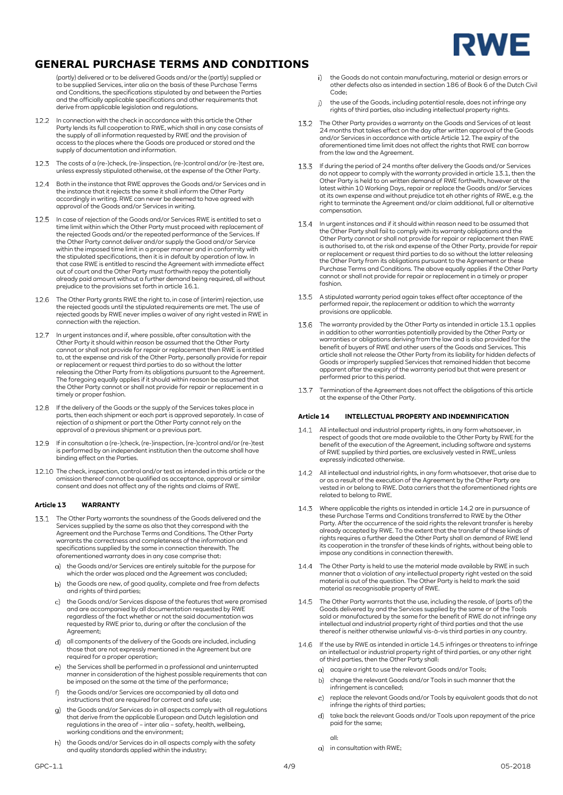

(partly) delivered or to be delivered Goods and/or the (partly) supplied or to be supplied Services, inter alia on the basis of these Purchase Terms and Conditions, the specifications stipulated by and between the Parties and the officially applicable specifications and other requirements that derive from applicable legislation and regulations.

- 12.2 In connection with the check in accordance with this article the Other Party lends its full cooperation to RWE, which shall in any case consists of the supply of all information requested by RWE and the provision of access to the places where the Goods are produced or stored and the supply of documentation and information.
- 12.3 The costs of a (re-)check, (re-)inspection, (re-)control and/or (re-)test are, unless expressly stipulated otherwise, at the expense of the Other Party.
- 12.4 Both in the instance that RWE approves the Goods and/or Services and in the instance that it rejects the same it shall inform the Other Party accordingly in writing. RWE can never be deemed to have agreed with approval of the Goods and/or Services in writing.
- 12.5 In case of rejection of the Goods and/or Services RWE is entitled to set a time limit within which the Other Party must proceed with replacement of the rejected Goods and/or the repeated performance of the Services. If the Other Party cannot deliver and/or supply the Good and/or Service within the imposed time limit in a proper manner and in conformity with the stipulated specifications, then it is in default by operation of law. In that case RWE is entitled to rescind the Agreement with immediate effect out of court and the Other Party must forthwith repay the potentially already paid amount without a further demand being required, all without prejudice to the provisions set forth in articl[e 16.1.](#page-4-1)
- $126$ The Other Party grants RWE the right to, in case of (interim) rejection, use the rejected goods until the stipulated requirements are met. The use of rejected goods by RWE never implies a waiver of any right vested in RWE in connection with the rejection.
- In urgent instances and if, where possible, after consultation with the  $12.7$ Other Party it should within reason be assumed that the Other Party cannot or shall not provide for repair or replacement then RWE is entitled to, at the expense and risk of the Other Party, personally provide for repair or replacement or request third parties to do so without the latter releasing the Other Party from its obligations pursuant to the Agreement. The foregoing equally applies if it should within reason be assumed that the Other Party cannot or shall not provide for repair or replacement in a timely or proper fashion.
- 12.8 If the delivery of the Goods or the supply of the Services takes place in parts, then each shipment or each part is approved separately. In case of rejection of a shipment or part the Other Party cannot rely on the approval of a previous shipment or a previous part.
- 12.9 If in consultation a (re-)check, (re-)inspection, (re-)control and/or (re-)test is performed by an independent institution then the outcome shall have binding effect on the Parties.
- 12.10 The check, inspection, control and/or test as intended in this article or the omission thereof cannot be qualified as acceptance, approval or similar consent and does not affect any of the rights and claims of RWE.

## **Article 13 WARRANTY**

- <span id="page-3-0"></span>13.1 The Other Party warrants the soundness of the Goods delivered and the Services supplied by the same as also that they correspond with the Agreement and the Purchase Terms and Conditions. The Other Party warrants the correctness and completeness of the information and specifications supplied by the same in connection therewith. The aforementioned warranty does in any case comprise that:
	- a) the Goods and/or Services are entirely suitable for the purpose for which the order was placed and the Agreement was concluded;
	- b) the Goods are new, of good quality, complete and free from defects and rights of third parties;
	- $\overline{c}$ the Goods and/or Services dispose of the features that were promised and are accompanied by all documentation requested by RWE regardless of the fact whether or not the said documentation was requested by RWE prior to, during or after the conclusion of the Agreement;
	- all components of the delivery of the Goods are included, including  $\overline{d}$ those that are not expressly mentioned in the Agreement but are required for a proper operation;
	- the Services shall be performed in a professional and uninterrupted manner in consideration of the highest possible requirements that can be imposed on the same at the time of the performance;
	- the Goods and/or Services are accompanied by all data and  $f$ instructions that are required for correct and safe use;
	- the Goods and/or Services do in all aspects comply with all regulations  $\alpha$ that derive from the applicable European and Dutch legislation and regulations in the area of – inter alia – safety, health, wellbeing, working conditions and the environment;
	- the Goods and/or Services do in all aspects comply with the safety  $h)$ and quality standards applied within the industry;
- the Goods do not contain manufacturing, material or design errors or other defects also as intended in section 186 of Book 6 of the Dutch Civil Code;
- the use of the Goods, including potential resale, does not infringe any  $i)$ rights of third parties, also including intellectual property rights.
- 13.2 The Other Party provides a warranty on the Goods and Services of at least 24 months that takes effect on the day after written approval of the Goods and/or Services in accordance with articl[e Article 12.](#page-2-1) The expiry of the aforementioned time limit does not affect the rights that RWE can borrow from the law and the Agreement.
- If during the period of 24 months after delivery the Goods and/or Services 13.3 do not appear to comply with the warranty provided in articl[e 13.1,](#page-3-0) then the Other Party is held to on written demand of RWE forthwith, however at the latest within 10 Working Days, repair or replace the Goods and/or Services at its own expense and without prejudice tot eh other rights of RWE, e.g. the right to terminate the Agreement and/or claim additional, full or alternative compensation.
- $134$ In urgent instances and if it should within reason need to be assumed that<br>the Other Party shall fail to comply with its warranty obligations and the<br>Other Party cannot or shall not provide for repair or replacement then R is authorised to, at the risk and expense of the Other Party, provide for repair or replacement or request third parties to do so without the latter releasing the Other Party from its obligations pursuant to the Agreement or these<br>Purchase Terms and Conditions. The above equally applies if the Other Party<br>cannot or shall not provide for repair or replacement in a timely or prope fashion.
- 13.5 A stipulated warranty period again takes effect after acceptance of the performed repair, the replacement or addition to which the warranty provisions are applicable.
- The warranty provided by the Other Party as intended in article [13.1](#page-3-0) applies in addition to other warranties potentially provided by the Other Party or warranties or obligations deriving from the law and is also provided for the benefit of buyers of RWE and other users of the Goods and Services. This article shall not release the Other Party from its liability for hidden defects of Goods or improperly supplied Services that remained hidden that become apparent after the expiry of the warranty period but that were present or performed prior to this period.
- 13.7 Termination of the Agreement does not affect the obligations of this article at the expense of the Other Party.

### <span id="page-3-4"></span>**Article 14 INTELLECTUAL PROPERTY AND INDEMNIFICATION**

- 14.1 All intellectual and industrial property rights, in any form whatsoever, in respect of goods that are made available to the Other Party by RWE for the benefit of the execution of the Agreement, including software and systems of RWE supplied by third parties, are exclusively vested in RWE, unless expressly indicated otherwise.
- <span id="page-3-1"></span>14.2 All intellectual and industrial rights, in any form whatsoever, that arise due to or as a result of the execution of the Agreement by the Other Party are vested in or belong to RWE. Data carriers that the aforementioned rights are related to belong to RWE.
- 14.3 Where applicable the rights as intended in article [14.2](#page-3-1) are in pursuance of these Purchase Terms and Conditions transferred to RWE by the Other Party. After the occurrence of the said rights the relevant transfer is hereby already accepted by RWE. To the extent that the transfer of these kinds of rights requires a further deed the Other Party shall on demand of RWE lend its cooperation in the transfer of these kinds of rights, without being able to impose any conditions in connection therewith.
- 14.4 The Other Party is held to use the material made available by RWE in such manner that a violation of any intellectual property right vested on the said material is out of the question. The Other Party is held to mark the said material as recognisable property of RWE.
- <span id="page-3-2"></span>14.5 The Other Party warrants that the use, including the resale, of (parts of) the Goods delivered by and the Services supplied by the same or of the Tools sold or manufactured by the same for the benefit of RWE do not infringe any intellectual and industrial property right of third parties and that the use thereof is neither otherwise unlawful vis-à-vis third parties in any country.
- <span id="page-3-3"></span>14.6 If the use by RWE as intended in articl[e 14.5](#page-3-2) infringes or threatens to infringe an intellectual or industrial property right of third parties, or any other right of third parties, then the Other Party shall:
	- a) acquire a right to use the relevant Goods and/or Tools;
	- change the relevant Goods and/or Tools in such manner that the b) infringement is cancelled;
	- replace the relevant Goods and/or Tools by equivalent goods that do not  $\mathbf{C}$ infringe the rights of third parties;
	- take back the relevant Goods and/or Tools upon repayment of the price d) paid for the same;

all:

a) in consultation with RWE: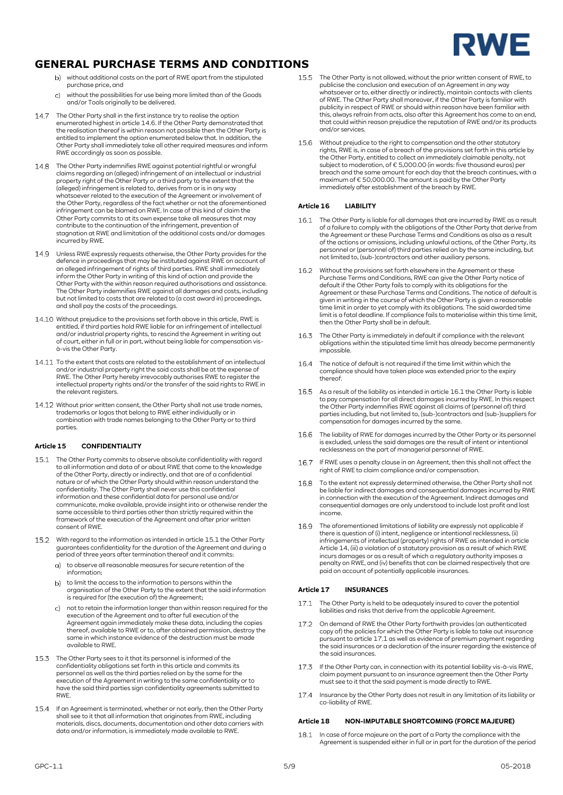

- without additional costs on the part of RWE apart from the stipulated purchase price, and
- $\overline{c}$ without the possibilities for use being more limited than of the Goods and/or Tools originally to be delivered.
- 14.7 The Other Party shall in the first instance try to realise the option enumerated highest in articl[e 14.6.](#page-3-3) If the Other Party demonstrated that the realisation thereof is within reason not possible then the Other Party is entitled to implement the option enumerated below that. In addition, the Other Party shall immediately take all other required measures and inform RWE accordingly as soon as possible.
- The Other Party indemnifies RWE against potential rightful or wrongful claims regarding an (alleged) infringement of an intellectual or industrial property right of the Other Party or a third party to the extent that the (alleged) infringement is related to, derives from or is in any way whatsoever related to the execution of the Agreement or involvement of the Other Party, regardless of the fact whether or not the aforementioned infringement can be blamed on RWE. In case of this kind of claim the Other Party commits to at its own expense take all measures that may contribute to the continuation of the infringement, prevention of stagnation at RWE and limitation of the additional costs and/or damages incurred by RWE.
- 14.9 Unless RWE expressly requests otherwise, the Other Party provides for the defence in proceedings that may be instituted against RWE on account of an alleged infringement of rights of third parties. RWE shall immediately inform the Other Party in writing of this kind of action and provide the Other Party with the within reason required authorisations and assistance. The Other Party indemnifies RWE against all damages and costs, including but not limited to costs that are related to (a cost award in) proceedings, and shall pay the costs of the proceedings.
- Without prejudice to the provisions set forth above in this article, RWE is entitled, if third parties hold RWE liable for an infringement of intellectual and/or industrial property rights, to rescind the Agreement in writing out of court, either in full or in part, without being liable for compensation visà-vis the Other Party.
- To the extent that costs are related to the establishment of an intellectual and/or industrial property right the said costs shall be at the expense of RWE. The Other Party hereby irrevocably authorises RWE to register the intellectual property rights and/or the transfer of the said rights to RWE in the relevant registers.
- 14.12 Without prior written consent, the Other Party shall not use trade names, trademarks or logos that belong to RWE either individually or in combination with trade names belonging to the Other Party or to third parties.

## **Article 15 CONFIDENTIALITY**

- <span id="page-4-2"></span>The Other Party commits to observe absolute confidentiality with regard to all information and data of or about RWE that come to the knowledge of the Other Party, directly or indirectly, and that are of a confidential nature or of which the Other Party should within reason understand the confidentiality. The Other Party shall never use this confidential information and these confidential data for personal use and/or communicate, make available, provide insight into or otherwise render the same accessible to third parties other than strictly required within the framework of the execution of the Agreement and after prior written consent of RWE.
- 15.2 With regard to the information as intended in articl[e 15.1](#page-4-2) the Other Party guarantees confidentiality for the duration of the Agreement and during a period of three years after termination thereof and it commits:
	- to observe all reasonable measures for secure retention of the information;
	- b) to limit the access to the information to persons within the organisation of the Other Party to the extent that the said information is required for (the execution of) the Agreement;
	- not to retain the information longer than within reason required for the execution of the Agreement and to after full execution of the Agreement again immediately make these data, including the copies thereof, available to RWE or to, after obtained permission, destroy the same in which instance evidence of the destruction must be made available to RWE.
- The Other Party sees to it that its personnel is informed of the confidentiality obligations set forth in this article and commits its personnel as well as the third parties relied on by the same for the execution of the Agreement in writing to the same confidentiality or to have the said third parties sign confidentiality agreements submitted to **RWF**
- 154 If an Agreement is terminated, whether or not early, then the Other Party shall see to it that all information that originates from RWE, including materials, discs, documents, documentation and other data carriers with data and/or information, is immediately made available to RWE.
- 15.5 The Other Party is not allowed, without the prior written consent of RWE, to publicise the conclusion and execution of an Agreement in any way whatsoever or to, either directly or indirectly, maintain contacts with clients of RWE. The Other Party shall moreover, if the Other Party is familiar with publicity in respect of RWE or should within reason have been familiar with this, always refrain from acts, also after this Agreement has come to an end, that could within reason prejudice the reputation of RWE and/or its products and/or services.
- 15.6 Without prejudice to the right to compensation and the other statutory rights, RWE is, in case of a breach of the provisions set forth in this article by the Other Party, entitled to collect an immediately claimable penalty, not subject to moderation, of € 5,000.00 (in words: five thousand euros) per breach and the same amount for each day that the breach continues, with a maximum of € 50,000.00. The amount is paid by the Other Party immediately after establishment of the breach by RWE.

### **Article 16 LIABILITY**

- <span id="page-4-1"></span>16.1 The Other Party is liable for all damages that are incurred by RWE as a result of a failure to comply with the obligations of the Other Party that derive from the Agreement or these Purchase Terms and Conditions as also as a result<br>of the actions or omissions, including unlawful actions, of the Other Party, its<br>personnel or (personnel of) third parties relied on by the same incl not limited to, (sub-)contractors and other auxiliary persons.
- 16.2 Without the provisions set forth elsewhere in the Agreement or these Purchase Terms and Conditions, RWE can give the Other Party notice of default if the Other Party fails to comply with its obligations for the Agreement or these Purchase Terms and Conditions. The notice of default is given in writing in the course of which the Other Party is given a reasonable time limit in order to yet comply with its obligations. The said awarded time limit is a fatal deadline. If compliance fails to materialise within this time limit, then the Other Party shall be in default.
- 16.3 The Other Party is immediately in default if compliance with the relevant obligations within the stipulated time limit has already become permanently impossible.
- 16.4 The notice of default is not required if the time limit within which the compliance should have taken place was extended prior to the expiry thereof.
- 16.5 As a result of the liability as intended in article [16.1](#page-4-1) the Other Party is liable to pay compensation for all direct damages incurred by RWE. In this respect<br>the Other Party indemnifies RWE against all claims of (personnel of) third<br>parties including, but not limited to, (sub-)contractors and (sub-)supp
- <span id="page-4-0"></span>The liability of RWE for damages incurred by the Other Party or its personnel 16.6 is excluded, unless the said damages are the result of intent or intentional recklessness on the part of managerial personnel of RWE.
- 16.7 If RWE uses a penalty clause in an Agreement, then this shall not affect the right of RWE to claim compliance and/or compensation.
- 16.8 To the extent not expressly determined otherwise, the Other Party shall not be liable for indirect damages and consequential damages incurred by RWE in connection with the execution of the Agreement. Indirect damages and consequential damages are only understood to include lost profit and lost income.
- The aforementioned limitations of liability are expressly not applicable if<br>there is question of (i) intent, negligence or intentional recklessness, (ii)<br>infringements of intellectual (property) rights of RWE as intended i [Article 14,](#page-3-4) (iii) a violation of a statutory provision as a result of which RWE<br>incurs damages or as a result of which a regulatory authority imposes a<br>penalty on RWE, and (iv) benefits that can be claimed respectively tha

## **Article 17 INSURANCES**

- <span id="page-4-3"></span>17.1 The Other Party is held to be adequately insured to cover the potential liabilities and risks that derive from the applicable Agreement.
- 17.2 On demand of RWE the Other Party forthwith provides (an authenticated copy of) the policies for which the Other Party is liable to take out insurance pursuant to articl[e 17.1](#page-4-3) as well as evidence of premium payment regarding the said insurances or a declaration of the insurer regarding the existence of the said insurances.
- 17.3 If the Other Party can, in connection with its potential liability vis-à-vis RWE, claim payment pursuant to an insurance agreement then the Other Party must see to it that the said payment is made directly to RWE.
- 17.4 Insurance by the Other Party does not result in any limitation of its liability or co-liability of RWE.

## **Article 18 NON-IMPUTABLE SHORTCOMING (FORCE MAJEURE)**

18.1 In case of force majeure on the part of a Party the compliance with the Agreement is suspended either in full or in part for the duration of the period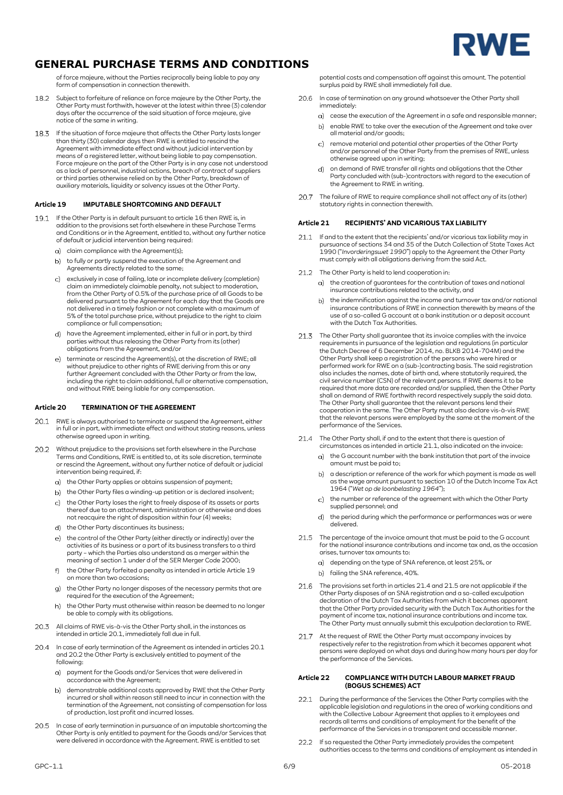

of force majeure, without the Parties reciprocally being liable to pay any form of compensation in connection therewith

- 18.2 Subject to forfeiture of reliance on force majeure by the Other Party, the Other Party must forthwith, however at the latest within three (3) calendar days after the occurrence of the said situation of force majeure, give notice of the same in writing.
- 18.3 If the situation of force majeure that affects the Other Party lasts longer than thirty (30) calendar days then RWE is entitled to rescind the Agreement with immediate effect and without judicial intervention by means of a registered letter, without being liable to pay compensation. Force majeure on the part of the Other Party is in any case not understood as a lack of personnel, industrial actions, breach of contract of suppliers or third parties otherwise relied on by the Other Party, breakdown of auxiliary materials, liquidity or solvency issues at the Other Party.

### <span id="page-5-2"></span>**Article 19 IMPUTABLE SHORTCOMING AND DEFAULT**

- 19.1 If the Other Party is in default pursuant to article 16 then RWE is, in addition to the provisions set forth elsewhere in these Purchase Terms and Conditions or in the Agreement, entitled to, without any further notice of default or judicial intervention being required:
	- g) claim compliance with the Agreement(s):
	- to fully or partly suspend the execution of the Agreement and Agreements directly related to the same;
	- exclusively in case of failing, late or incomplete delivery (completion) claim an immediately claimable penalty, not subject to moderation, from the Other Party of 0.5% of the purchase price of all Goods to be delivered pursuant to the Agreement for each day that the Goods are not delivered in a timely fashion or not complete with a maximum of 5% of the total purchase price, without prejudice to the right to claim compliance or full compensation;
	- have the Agreement implemented, either in full or in part, by third parties without thus releasing the Other Party from its (other) obligations from the Agreement, and/or
	- e) terminate or rescind the Agreement(s), at the discretion of RWE; all without prejudice to other rights of RWE deriving from this or any further Agreement concluded with the Other Party or from the law, including the right to claim additional, full or alternative compensation, and without RWE being liable for any compensation.

### **Article 20 TERMINATION OF THE AGREEMENT**

- <span id="page-5-0"></span>20.1 RWE is always authorised to terminate or suspend the Agreement, either in full or in part, with immediate effect and without stating reasons, unless otherwise agreed upon in writing.
- <span id="page-5-3"></span>Without prejudice to the provisions set forth elsewhere in the Purchase Terms and Conditions, RWE is entitled to, at its sole discretion, terminate or rescind the Agreement, without any further notice of default or judicial intervention being required, if:
	- a) the Other Party applies or obtains suspension of payment;
	- b) the Other Party files a winding-up petition or is declared insolvent;
	- c) the Other Party loses the right to freely dispose of its assets or parts thereof due to an attachment, administration or otherwise and does not reacquire the right of disposition within four (4) weeks;
	- d) the Other Party discontinues its business;
	- e) the control of the Other Party (either directly or indirectly) over the activities of its business or a part of its business transfers to a third party – which the Parties also understand as a merger within the meaning of section 1 under d of the SER Merger Code 2000;
	- f) the Other Party forfeited a penalty as intended in article Article 19 on more than two occasions;
	- the Other Party no longer disposes of the necessary permits that are  $g)$ required for the execution of the Agreement;
	- the Other Party must otherwise within reason be deemed to no longer  $h)$ be able to comply with its obligations.
- 20.3 All claims of RWE vis-à-vis the Other Party shall, in the instances as in stamp of the case of the article called in articl[e 20.1,](#page-5-0) immediately fall due in full.
- <span id="page-5-1"></span>20.4 In case of early termination of the Agreement as intended in article[s 20.1](#page-5-0) and [20.2](#page-5-3) the Other Party is exclusively entitled to payment of the following:
	- payment for the Goods and/or Services that were delivered in accordance with the Agreement;
	- demonstrable additional costs approved by RWE that the Other Party  $h$ incurred or shall within reason still need to incur in connection with the termination of the Agreement, not consisting of compensation for loss of production, lost profit and incurred losses.
- 20.5 In case of early termination in pursuance of an imputable shortcoming the Other Party is only entitled to payment for the Goods and/or Services that were delivered in accordance with the Agreement. RWE is entitled to set

potential costs and compensation off against this amount. The potential surplus paid by RWE shall immediately fall due.

- 20.6 In case of termination on any ground whatsoever the Other Party shall immediately:
	- cease the execution of the Agreement in a safe and responsible manner;
	- b) enable RWE to take over the execution of the Agreement and take over all material and/or goods;
	- remove material and potential other properties of the Other Party  $\cap$ and/or personnel of the Other Party from the premises of RWE, unless otherwise agreed upon in writing;
	- on demand of RWE transfer all rights and obligations that the Other  $d)$ Party concluded with (sub-)contractors with regard to the execution of the Agreement to RWE in writing.
- $20.7$ The failure of RWE to require compliance shall not affect any of its (other) statutory rights in connection therewith.

### **Article 21 RECIPIENTS' AND VICARIOUS TAX LIABILITY**

- <span id="page-5-4"></span>If and to the extent that the recipients' and/or vicarious tax liability may in pursuance of sections 34 and 35 of the Dutch Collection of State Taxes Act 1990 ("*Invorderingswet 1990*") apply to the Agreement the Other Party must comply with all obligations deriving from the said Act.
- 21.2 The Other Party is held to lend cooperation in:
	- a) the creation of guarantees for the contribution of taxes and national insurance contributions related to the activity, and
	- the indemnification against the income and turnover tax and/or national insurance contributions of RWE in connection therewith by means of the use of a so-called G account at a bank institution or a deposit account with the Dutch Tax Authorities.
- 21.3 The Other Party shall guarantee that its invoice complies with the invoice requirements in pursuance of the legislation and regulations (in particular the Dutch Decree of 6 December 2014, no. BLKB 2014-704M) and the Other Party shall keep a registration of the persons who were hired or performed work for RWE on a (sub-)contracting basis. The said registration also includes the names, date of birth and, where statutorily required, the civil service number (CSN) of the relevant persons. If RWE deems it to be required that more data are recorded and/or supplied, then the Other Party shall on demand of RWE forthwith record respectively supply the said data. The Other Party shall guarantee that the relevant persons lend their cooperation in the same. The Other Party must also declare vis-à-vis RWE that the relevant persons were employed by the same at the moment of the performance of the Services.
- <span id="page-5-5"></span>21.4 The Other Party shall, if and to the extent that there is question of circumstances as intended in articl[e 21.1,](#page-5-4) also indicated on the invoice:
	- a) the G account number with the bank institution that part of the invoice amount must be paid to;
	- a description or reference of the work for which payment is made as well  $b)$ as the wage amount pursuant to section 10 of the Dutch Income Tax Act 1964 ("*Wet op de loonbelasting 1964*");
	- the number or reference of the agreement with which the Other Party  $\mathcal{C}$ supplied personnel; and
	- d) the period during which the performance or performances was or were delivered.
- <span id="page-5-6"></span>21.5 The percentage of the invoice amount that must be paid to the G account for the national insurance contributions and income tax and, as the occasion arises, turnover tax amounts to:
	- a) depending on the type of SNA reference, at least 25%, or
	- b) failing the SNA reference, 40%.
- 21.6 The provisions set forth in article[s 21.4](#page-5-5) and [21.5](#page-5-6) are not applicable if the Other Party disposes of an SNA registration and a so-called exculpation declaration of the Dutch Tax Authorities from which it becomes apparent that the Other Party provided security with the Dutch Tax Authorities for the payment of income tax, national insurance contributions and income tax. The Other Party must annually submit this exculpation declaration to RWE.
- 21.7 At the request of RWE the Other Party must accompany invoices by respectively refer to the registration from which it becomes apparent what persons were deployed on what days and during how many hours per day for the performance of the Services.

#### **Article 22 COMPLIANCE WITH DUTCH LABOUR MARKET FRAUD (BOGUS SCHEMES) ACT**

- <span id="page-5-7"></span>22.1 During the performance of the Services the Other Party complies with the applicable legislation and regulations in the area of working conditions and with the Collective Labour Agreement that applies to it employees and records all terms and conditions of employment for the benefit of the performance of the Services in a transparent and accessible manner.
- $22.2$ If so requested the Other Party immediately provides the competent authorities access to the terms and conditions of employment as intended in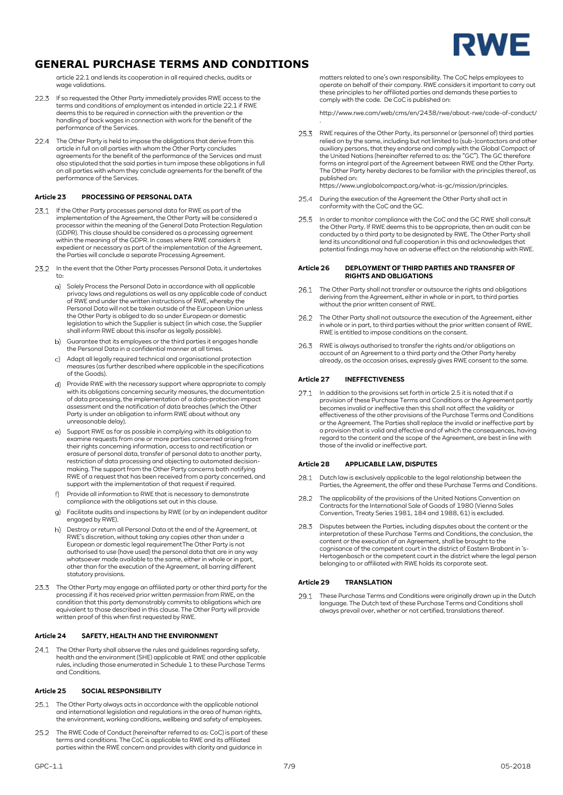

articl[e 22.1](#page-5-7) and lends its cooperation in all required checks, audits or wage validations.

- 22.3 If so requested the Other Party immediately provides RWE access to the terms and conditions of employment as intended in article [22.1](#page-5-7) if RWE deems this to be required in connection with the prevention or the handling of back wages in connection with work for the benefit of the performance of the Services.
- 22.4 The Other Party is held to impose the obligations that derive from this article in full on all parties with whom the Other Party concludes agreements for the benefit of the performance of the Services and must also stipulated that the said parties in turn impose these obligations in full on all parties with whom they conclude agreements for the benefit of the performance of the Services.

## **Article 23 PROCESSING OF PERSONAL DATA**

- If the Other Party processes personal data for RWE as part of the implementation of the Agreement, the Other Party will be considered a processor within the meaning of the General Data Protection Regulation (GDPR). This clause should be considered as a processing agreement within the meaning of the GDPR. In cases where RWE considers it expedient or necessary as part of the implementation of the Agreement, the Parties will conclude a separate Processing Agreement.
- 23.2 In the event that the Other Party processes Personal Data, it undertakes to:
	- a) Solely Process the Personal Data in accordance with all applicable privacy laws and regulations as well as any applicable code of conduct of RWE and under the written instructions of RWE, whereby the Personal Data will not be taken outside of the European Union unless the Other Party is obliged to do so under European or domestic legislation to which the Supplier is subject (in which case, the Supplier shall inform RWE about this insofar as legally possible).
	- b) Guarantee that its employees or the third parties it engages handle the Personal Data in a confidential manner at all times.
	- Adapt all legally required technical and organisational protection measures (as further described where applicable in the specifications of the Goods).
	- d) Provide RWE with the necessary support where appropriate to comply with its obligations concerning security measures, the documentation of data processing, the implementation of a data-protection impact assessment and the notification of data breaches (which the Other Party is under an obligation to inform RWE about without any unreasonable delay).
	- Support RWE as far as possible in complying with its obligation to examine requests from one or more parties concerned arising from their rights concerning information, access to and rectification or erasure of personal data, transfer of personal data to another party, restriction of data processing and objecting to automated decisionmaking. The support from the Other Party concerns both notifying RWE of a request that has been received from a party concerned, and support with the implementation of that request if required.
	- Provide all information to RWE that is necessary to demonstrate compliance with the obligations set out in this clause.
	- Facilitate audits and inspections by RWE (or by an independent auditor engaged by RWE).
	- h) Destroy or return all Personal Data at the end of the Agreement, at RWE's discretion, without taking any copies other than under a European or domestic legal requirementThe Other Party is not authorised to use (have used) the personal data that are in any way whatsoever made available to the same, either in whole or in part, other than for the execution of the Agreement, all barring different statutory provisions.
- The Other Party may engage an affiliated party or other third party for the processing if it has received prior written permission from RWE, on the condition that this party demonstrably commits to obligations which are equivalent to those described in this clause. The Other Party will provide written proof of this when first requested by RWE.

## **Article 24 SAFETY, HEALTH AND THE ENVIRONMENT**

The Other Party shall observe the rules and guidelines regarding safety,  $24.1$ health and the environment (SHE) applicable at RWE and other applicable rules, including those enumerated in Schedule 1 to these Purchase Terms and Conditions.

### **Article 25 SOCIAL RESPONSIBILITY**

- 25.1 The Other Party always acts in accordance with the applicable national and international legislation and regulations in the area of human rights, the environment, working conditions, wellbeing and safety of employees.
- The RWE Code of Conduct (hereinafter referred to as: CoC) is part of these 25.2 terms and conditions. The CoC is applicable to RWE and its affiliated parties within the RWE concern and provides with clarity and guidance in

matters related to one's own responsibility. The CoC helps employees to operate on behalf of their company. RWE considers it important to carry out these principles to her affiliated parties and demands these parties to comply with the code. De CoC is published on:

http://www.rwe.com/web/cms/en/2438/rwe/about-rwe/code-of-conduct/ .

- RWE requires of the Other Party, its personnel or (personnel of) third parties relied on by the same, including but not limited to (sub-)contactors and other auxiliary persons, that they endorse and comply with the Global Compact of the United Nations (hereinafter referred to as: the "GC"). The GC therefore forms an integral part of the Agreement between RWE and the Other Party. The Other Party hereby declares to be familiar with the principles thereof, as published on:
	- [https://www.unglobalcompact.org/what-is-gc/mission/principles.](https://www.unglobalcompact.org/what-is-gc/mission/principles)
- During the execution of the Agreement the Other Party shall act in 25.4 conformity with the CoC and the GC.
- 25.5 In order to monitor compliance with the CoC and the GC RWE shall consult the Other Party. If RWE deems this to be appropriate, then an audit can be conducted by a third party to be designated by RWE. The Other Party shall lend its unconditional and full cooperation in this and acknowledges that potential findings may have an adverse effect on the relationship with RWE.

#### **Article 26 DEPLOYMENT OF THIRD PARTIES AND TRANSFER OF RIGHTS AND OBLIGATIONS**

- 26.1 The Other Party shall not transfer or outsource the rights and obligations deriving from the Agreement, either in whole or in part, to third parties without the prior written consent of RWE.
- 26.2 The Other Party shall not outsource the execution of the Agreement, either in whole or in part, to third parties without the prior written consent of RWE. RWE is entitled to impose conditions on the consent.
- 26.3 RWE is always authorised to transfer the rights and/or obligations on account of an Agreement to a third party and the Other Party hereby already, as the occasion arises, expressly gives RWE consent to the same.

## **Article 27 INEFFECTIVENESS**

27.1 In addition to the provisions set forth in article [2.5](#page-0-2) it is noted that if a provision of these Purchase Terms and Conditions or the Agreement partly becomes invalid or ineffective then this shall not affect the validity or effectiveness of the other provisions of the Purchase Terms and Conditions<br>or the Agreement. The Parties shall replace the invalid or ineffective part by<br>a provision that is valid and effective and of which the consequence regard to the content and the scope of the Agreement, are best in line with those of the invalid or ineffective part.

#### **Article 28 APPLICABLE LAW, DISPUTES**

- 28.1 Dutch law is exclusively applicable to the legal relationship between the Parties, the Agreement, the offer and these Purchase Terms and Conditions.
- 28.2 The applicability of the provisions of the United Nations Convention on Contracts for the International Sale of Goods of 1980 (Vienna Sales Convention, Treaty Series 1981, 184 and 1988, 61) is excluded.
- 28.3 Disputes between the Parties, including disputes about the content or the interpretation of these Purchase Terms and Conditions, the conclusion, the content or the execution of an Agreement, shall be brought to the cognisance of the competent court in the district of Eastern Brabant in 's-Hertogenbosch or the competent court in the district where the legal person belonging to or affiliated with RWE holds its corporate seat.

#### **Article 29 TRANSLATION**

29.1 These Purchase Terms and Conditions were originally drawn up in the Dutch language. The Dutch text of these Purchase Terms and Conditions shall always prevail over, whether or not certified, translations thereof.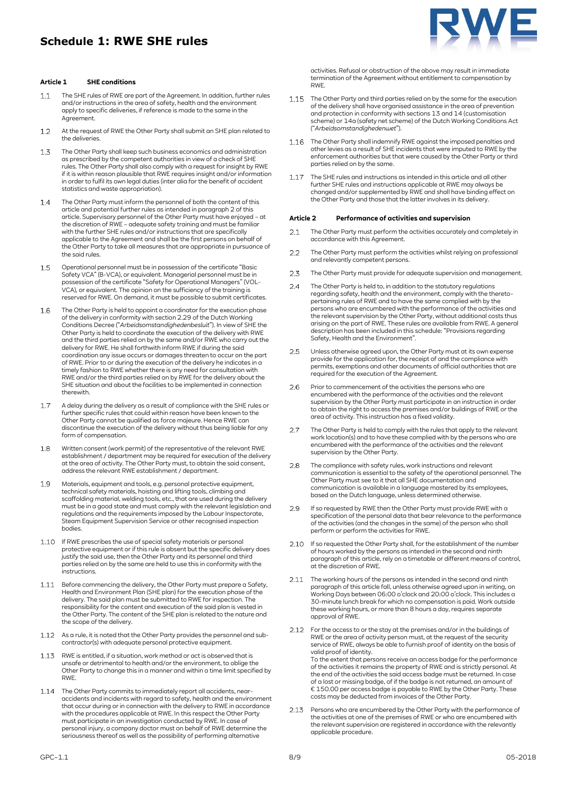## **Schedule 1: RWE SHE rules**



### **Article 1 SHE conditions**

- The SHE rules of RWE are part of the Agreement. In addition, further rules  $1.1$ and/or instructions in the area of safety, health and the environment apply to specific deliveries, if reference is made to the same in the Agreement.
- $12$ At the request of RWE the Other Party shall submit an SHE plan related to the deliveries.
- $1.3$ The Other Party shall keep such business economics and administration as prescribed by the competent authorities in view of a check of SHE rules. The Other Party shall also comply with a request for insight by RWE if it is within reason plausible that RWE requires insight and/or information in order to fulfil its own legal duties (inter alia for the benefit of accident statistics and waste appropriation).
- The Other Party must inform the personnel of both the content of this  $1.4$ article and potential further rules as intended in paragraph 2 of this article. Supervisory personnel of the Other Party must have enjoyed – at the discretion of RWE – adequate safety training and must be familiar with the further SHE rules and/or instructions that are specifically applicable to the Agreement and shall be the first persons on behalf of the Other Party to take all measures that are appropriate in pursuance of the said rules.
- $1.5$ Operational personnel must be in possession of the certificate "Basic Safety VCA" (B-VCA), or equivalent. Managerial personnel must be in possession of the certificate "Safety for Operational Managers" (VOL-VCA), or equivalent. The opinion on the sufficiency of the training is reserved for RWE. On demand, it must be possible to submit certificates.
- 1.6 The Other Party is held to appoint a coordinator for the execution phase of the delivery in conformity with section 2.29 of the Dutch Working Conditions Decree ("*Arbeidsomstandighedenbesluit*"). In view of SHE the Other Party is held to coordinate the execution of the delivery with RWE and the third parties relied on by the same and/or RWE who carry out the delivery for RWE. He shall forthwith inform RWE if during the said coordination any issue occurs or damages threaten to occur on the part of RWE. Prior to or during the execution of the delivery he indicates in a timely fashion to RWE whether there is any need for consultation with RWE and/or the third parties relied on by RWE for the delivery about the SHE situation and about the facilities to be implemented in connection therewith.
- $1.7$ A delay during the delivery as a result of compliance with the SHE rules or further specific rules that could within reason have been known to the Other Party cannot be qualified as force majeure. Hence RWE can discontinue the execution of the delivery without thus being liable for any form of compensation.
- 1.8 Written consent (work permit) of the representative of the relevant RWE establishment / department may be required for execution of the delivery at the area of activity. The Other Party must, to obtain the said consent, address the relevant RWE establishment / department.
- $1Q$ Materials, equipment and tools, e.g. personal protective equipment, technical safety materials, hoisting and lifting tools, climbing and scaffolding material, welding tools, etc., that are used during the delivery must be in a good state and must comply with the relevant legislation and regulations and the requirements imposed by the Labour Inspectorate, Steam Equipment Supervision Service or other recognised inspection bodies.
- If RWE prescribes the use of special safety materials or personal protective equipment or if this rule is absent but the specific delivery does justify the said use, then the Other Party and its personnel and third parties relied on by the same are held to use this in conformity with the instructions.
- Before commencing the delivery, the Other Party must prepare a Safety, Health and Environment Plan (SHE plan) for the execution phase of the delivery. The said plan must be submitted to RWE for inspection. The responsibility for the content and execution of the said plan is vested in the Other Party. The content of the SHE plan is related to the nature and the scope of the delivery.
- 1.12 As a rule, it is noted that the Other Party provides the personnel and subcontractor(s) with adequate personal protective equipment.
- 1.13 RWE is entitled, if a situation, work method or act is observed that is unsafe or detrimental to health and/or the environment, to oblige the Other Party to change this in a manner and within a time limit specified by RWE.
- 1.14 The Other Party commits to immediately report all accidents, nearaccidents and incidents with regard to safety, health and the environment that occur during or in connection with the delivery to RWE in accordance with the procedures applicable at RWE. In this respect the Other Party must participate in an investigation conducted by RWE. In case of personal injury, a company doctor must on behalf of RWE determine the seriousness thereof as well as the possibility of performing alternative
- 1.15 The Other Party and third parties relied on by the same for the execution of the delivery shall have organised assistance in the area of prevention and protection in conformity with sections 13 and 14 (customisation scheme) or 14a (safety net scheme) of the Dutch Working Conditions Act ("*Arbeidsomstandighedenwet*").
- 1.16 The Other Party shall indemnify RWE against the imposed penalties and other levies as a result of SHE incidents that were imputed to RWE by the enforcement authorities but that were caused by the Other Party or third parties relied on by the same.
- The SHE rules and instructions as intended in this article and all other 1.17 further SHE rules and instructions applicable at RWE may always be changed and/or supplemented by RWE and shall have binding effect on the Other Party and those that the latter involves in its delivery.

#### **Article 2 Performance of activities and supervision**

- $2.1$ The Other Party must perform the activities accurately and completely in accordance with this Agreement.
- The Other Party must perform the activities whilst relying on professional  $22$ and relevantly competent persons.
- 2.3 The Other Party must provide for adequate supervision and management.
- The Other Party is held to, in addition to the statutory regulations  $2.4$ regarding safety, health and the environment, comply with the theretopertaining rules of RWE and to have the same complied with by the persons who are encumbered with the performance of the activities and the relevant supervision by the Other Party, without additional costs thus arising on the part of RWE. These rules are available from RWE. A general description has been included in this schedule: "Provisions regarding Safety, Health and the Environment".
- $25$ Unless otherwise agreed upon, the Other Party must at its own expense provide for the application for, the receipt of and the compliance with permits, exemptions and other documents of official authorities that are required for the execution of the Agreement.
- Prior to commencement of the activities the persons who are 2.6 encumbered with the performance of the activities and the relevant supervision by the Other Party must participate in an instruction in order to obtain the right to access the premises and/or buildings of RWE or the area of activity. This instruction has a fixed validity.
- $27$ The Other Party is held to comply with the rules that apply to the relevant work location(s) and to have these complied with by the persons who are encumbered with the performance of the activities and the relevant supervision by the Other Party.
- $28$ The compliance with safety rules, work instructions and relevant communication is essential to the safety of the operational personnel. The Other Party must see to it that all SHE documentation and communication is available in a language mastered by its employees, based on the Dutch language, unless determined otherwise.
- If so requested by RWE then the Other Party must provide RWE with a 2.9 specification of the personal data that bear relevance to the performance of the activities (and the changes in the same) of the person who shall perform or perform the activities for RWE.
- 2.10 If so requested the Other Party shall, for the establishment of the number of hours worked by the persons as intended in the second and ninth paragraph of this article, rely on a timetable or different means of control, at the discretion of RWE.
- 2.11 The working hours of the persons as intended in the second and ninth paragraph of this article fall, unless otherwise agreed upon in writing, on Working Days between 06:00 o'clock and 20:00 o'clock. This includes a 30-minute lunch break for which no compensation is paid. Work outside these working hours, or more than 8 hours a day, requires separate approval of RWE.
- $2.12$ For the access to or the stay at the premises and/or in the buildings of RWE or the area of activity person must, at the request of the security service of RWE, always be able to furnish proof of identity on the basis of valid proof of identity. To the extent that persons receive an access badge for the performance of the activities it remains the property of RWE and is strictly personal. At the end of the activities the said access badge must be returned. In case<br>of a lost or missing badge, of if the badge is not returned, an amount of<br>€ 150.00 per access badge is payable to RWE by the Other Party. These costs may be deducted from invoices of the Other Party.
- Persons who are encumbered by the Other Party with the performance of 2.13 the activities at one of the premises of RWE or who are encumbered with the relevant supervision are registered in accordance with the relevantly applicable procedure.